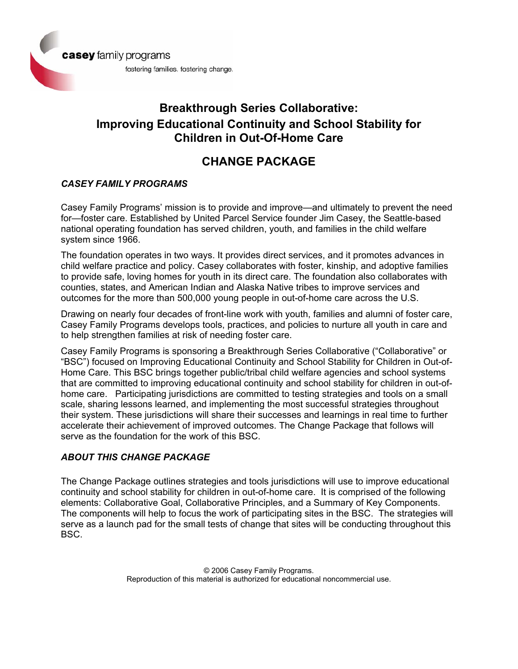

# **Breakthrough Series Collaborative: Improving Educational Continuity and School Stability for Children in Out-Of-Home Care**

## **CHANGE PACKAGE**

## *CASEY FAMILY PROGRAMS*

Casey Family Programs' mission is to provide and improve—and ultimately to prevent the need for—foster care. Established by United Parcel Service founder Jim Casey, the Seattle-based national operating foundation has served children, youth, and families in the child welfare system since 1966.

The foundation operates in two ways. It provides direct services, and it promotes advances in child welfare practice and policy. Casey collaborates with foster, kinship, and adoptive families to provide safe, loving homes for youth in its direct care. The foundation also collaborates with counties, states, and American Indian and Alaska Native tribes to improve services and outcomes for the more than 500,000 young people in out-of-home care across the U.S.

Drawing on nearly four decades of front-line work with youth, families and alumni of foster care, Casey Family Programs develops tools, practices, and policies to nurture all youth in care and to help strengthen families at risk of needing foster care.

Casey Family Programs is sponsoring a Breakthrough Series Collaborative ("Collaborative" or "BSC") focused on Improving Educational Continuity and School Stability for Children in Out-of-Home Care. This BSC brings together public/tribal child welfare agencies and school systems that are committed to improving educational continuity and school stability for children in out-ofhome care. Participating jurisdictions are committed to testing strategies and tools on a small scale, sharing lessons learned, and implementing the most successful strategies throughout their system. These jurisdictions will share their successes and learnings in real time to further accelerate their achievement of improved outcomes. The Change Package that follows will serve as the foundation for the work of this BSC.

## *ABOUT THIS CHANGE PACKAGE*

The Change Package outlines strategies and tools jurisdictions will use to improve educational continuity and school stability for children in out-of-home care. It is comprised of the following elements: Collaborative Goal, Collaborative Principles, and a Summary of Key Components. The components will help to focus the work of participating sites in the BSC. The strategies will serve as a launch pad for the small tests of change that sites will be conducting throughout this BSC.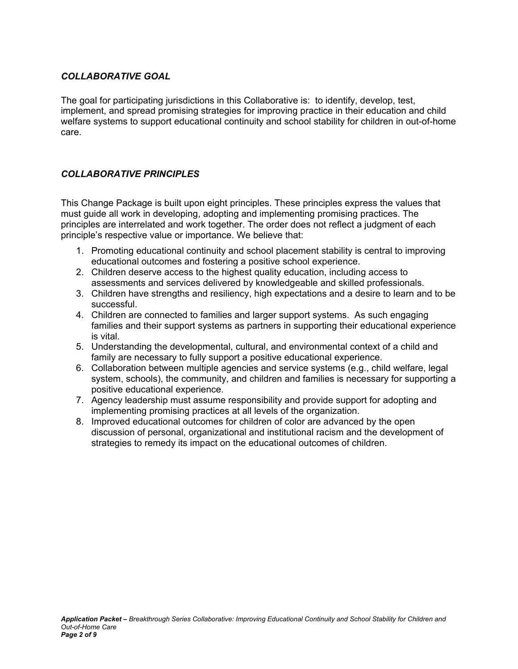## *COLLABORATIVE GOAL*

The goal for participating jurisdictions in this Collaborative is: to identify, develop, test, implement, and spread promising strategies for improving practice in their education and child welfare systems to support educational continuity and school stability for children in out-of-home care.

### *COLLABORATIVE PRINCIPLES*

This Change Package is built upon eight principles. These principles express the values that must guide all work in developing, adopting and implementing promising practices. The principles are interrelated and work together. The order does not reflect a judgment of each principle's respective value or importance. We believe that:

- 1. Promoting educational continuity and school placement stability is central to improving educational outcomes and fostering a positive school experience.
- 2. Children deserve access to the highest quality education, including access to assessments and services delivered by knowledgeable and skilled professionals.
- 3. Children have strengths and resiliency, high expectations and a desire to learn and to be successful.
- 4. Children are connected to families and larger support systems. As such engaging families and their support systems as partners in supporting their educational experience is vital.
- 5. Understanding the developmental, cultural, and environmental context of a child and family are necessary to fully support a positive educational experience.
- 6. Collaboration between multiple agencies and service systems (e.g., child welfare, legal system, schools), the community, and children and families is necessary for supporting a positive educational experience.
- 7. Agency leadership must assume responsibility and provide support for adopting and implementing promising practices at all levels of the organization.
- 8. Improved educational outcomes for children of color are advanced by the open discussion of personal, organizational and institutional racism and the development of strategies to remedy its impact on the educational outcomes of children.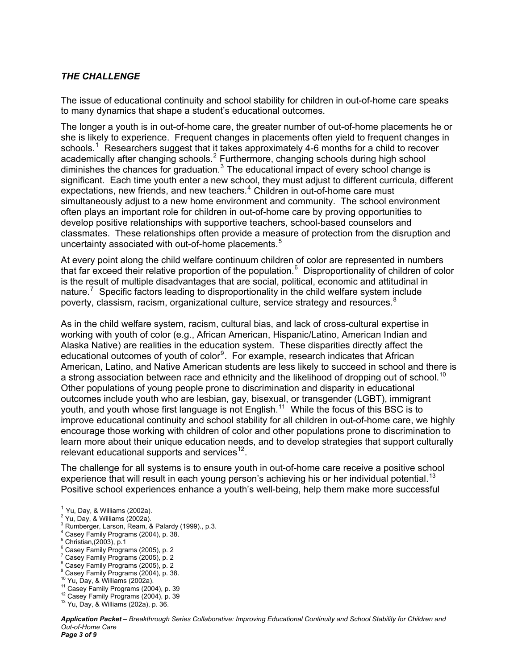#### *THE CHALLENGE*

The issue of educational continuity and school stability for children in out-of-home care speaks to many dynamics that shape a student's educational outcomes.

The longer a youth is in out-of-home care, the greater number of out-of-home placements he or she is likely to experience. Frequent changes in placements often yield to frequent changes in schools.<sup>[1](#page-2-0)</sup> Researchers suggest that it takes approximately 4-6 months for a child to recover academically after changing schools.<sup>[2](#page-2-1)</sup> Furthermore, changing schools during high school diminishes the chances for graduation. $3$  The educational impact of every school change is significant. Each time youth enter a new school, they must adjust to different curricula, different expectations, new friends, and new teachers.<sup>[4](#page-2-3)</sup> Children in out-of-home care must simultaneously adjust to a new home environment and community. The school environment often plays an important role for children in out-of-home care by proving opportunities to develop positive relationships with supportive teachers, school-based counselors and classmates. These relationships often provide a measure of protection from the disruption and uncertainty associated with out-of-home placements.<sup>[5](#page-2-4)</sup>

At every point along the child welfare continuum children of color are represented in numbers that far exceed their relative proportion of the population.<sup>[6](#page-2-5)</sup> Disproportionality of children of color is the result of multiple disadvantages that are social, political, economic and attitudinal in nature.<sup>[7](#page-2-6)</sup> Specific factors leading to disproportionality in the child welfare system include poverty, classism, racism, organizational culture, service strategy and resources.<sup>[8](#page-2-7)</sup>

As in the child welfare system, racism, cultural bias, and lack of cross-cultural expertise in working with youth of color (e.g., African American, Hispanic/Latino, American Indian and Alaska Native) are realities in the education system. These disparities directly affect the educational outcomes of youth of color<sup>[9](#page-2-8)</sup>. For example, research indicates that African American, Latino, and Native American students are less likely to succeed in school and there is a strong association between race and ethnicity and the likelihood of dropping out of school.<sup>[10](#page-2-9)</sup> Other populations of young people prone to discrimination and disparity in educational outcomes include youth who are lesbian, gay, bisexual, or transgender (LGBT), immigrant youth, and youth whose first language is not English.<sup>[11](#page-2-10)</sup> While the focus of this BSC is to improve educational continuity and school stability for all children in out-of-home care, we highly encourage those working with children of color and other populations prone to discrimination to learn more about their unique education needs, and to develop strategies that support culturally relevant educational supports and services<sup>[12](#page-2-11)</sup>.

The challenge for all systems is to ensure youth in out-of-home care receive a positive school experience that will result in each young person's achieving his or her individual potential.<sup>[13](#page-2-12)</sup> Positive school experiences enhance a youth's well-being, help them make more successful

 $\overline{\phantom{a}}$ 

- <span id="page-2-7"></span>8 Casey Family Programs (2005), p. 2
- 9 Casey Family Programs (2004), p. 38.

<sup>&</sup>lt;sup>1</sup> Yu, Day, & Williams (2002a).<br><sup>2</sup> Yu, Day, & Williams (2002a).

<span id="page-2-2"></span><span id="page-2-1"></span><span id="page-2-0"></span> $2$  Yu, Day, & Williams  $(2002a)$ .

<sup>3</sup> Rumberger, Larson, Ream, & Palardy (1999)., p.3.

<span id="page-2-3"></span><sup>4</sup> Casey Family Programs (2004), p. 38.

<span id="page-2-4"></span> $5$  Christian, (2003), p.1

<span id="page-2-5"></span><sup>6</sup> Casey Family Programs (2005), p. 2

<span id="page-2-6"></span><sup>7</sup> Casey Family Programs (2005), p. 2

<span id="page-2-11"></span>

<span id="page-2-10"></span><span id="page-2-9"></span><span id="page-2-8"></span><sup>&</sup>lt;sup>10</sup> Yu, Day, & Williams (2002a).<br><sup>11</sup> Casey Family Programs (2004), p. 39<br><sup>12</sup> Casey Family Programs (2004), p. 39<br><sup>13</sup> Yu, Day, & Williams (202a), p. 36.

<span id="page-2-12"></span>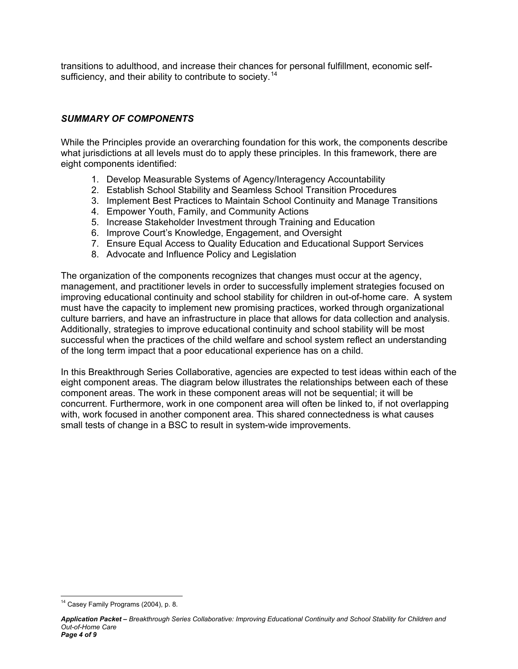transitions to adulthood, and increase their chances for personal fulfillment, economic self-sufficiency, and their ability to contribute to society.<sup>[14](#page-3-0)</sup>

### *SUMMARY OF COMPONENTS*

While the Principles provide an overarching foundation for this work, the components describe what jurisdictions at all levels must do to apply these principles. In this framework, there are eight components identified:

- 1. Develop Measurable Systems of Agency/Interagency Accountability
- 2. Establish School Stability and Seamless School Transition Procedures
- 3. Implement Best Practices to Maintain School Continuity and Manage Transitions
- 4. Empower Youth, Family, and Community Actions
- 5. Increase Stakeholder Investment through Training and Education
- 6. Improve Court's Knowledge, Engagement, and Oversight
- 7. Ensure Equal Access to Quality Education and Educational Support Services
- 8. Advocate and Influence Policy and Legislation

The organization of the components recognizes that changes must occur at the agency, management, and practitioner levels in order to successfully implement strategies focused on improving educational continuity and school stability for children in out-of-home care. A system must have the capacity to implement new promising practices, worked through organizational culture barriers, and have an infrastructure in place that allows for data collection and analysis. Additionally, strategies to improve educational continuity and school stability will be most successful when the practices of the child welfare and school system reflect an understanding of the long term impact that a poor educational experience has on a child.

In this Breakthrough Series Collaborative, agencies are expected to test ideas within each of the eight component areas. The diagram below illustrates the relationships between each of these component areas. The work in these component areas will not be sequential; it will be concurrent. Furthermore, work in one component area will often be linked to, if not overlapping with, work focused in another component area. This shared connectedness is what causes small tests of change in a BSC to result in system-wide improvements.

<span id="page-3-0"></span>  $14$  Casey Family Programs (2004), p. 8.

*Application Packet – Breakthrough Series Collaborative: Improving Educational Continuity and School Stability for Children and Out-of-Home Care Page 4 of 9*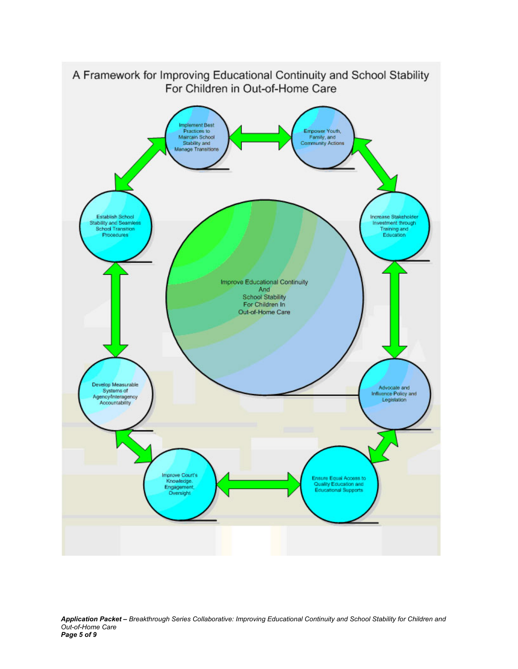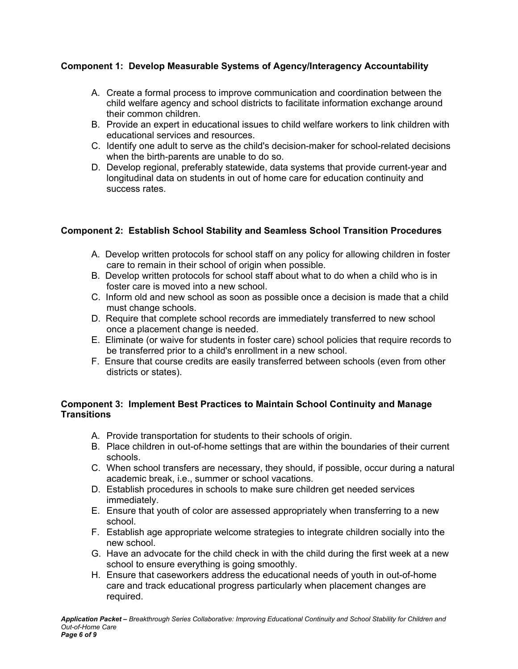## **Component 1: Develop Measurable Systems of Agency/Interagency Accountability**

- A. Create a formal process to improve communication and coordination between the child welfare agency and school districts to facilitate information exchange around their common children.
- B. Provide an expert in educational issues to child welfare workers to link children with educational services and resources.
- C. Identify one adult to serve as the child's decision-maker for school-related decisions when the birth-parents are unable to do so.
- D. Develop regional, preferably statewide, data systems that provide current-year and longitudinal data on students in out of home care for education continuity and success rates.

## **Component 2: Establish School Stability and Seamless School Transition Procedures**

- A. Develop written protocols for school staff on any policy for allowing children in foster care to remain in their school of origin when possible.
- B. Develop written protocols for school staff about what to do when a child who is in foster care is moved into a new school.
- C. Inform old and new school as soon as possible once a decision is made that a child must change schools.
- D. Require that complete school records are immediately transferred to new school once a placement change is needed.
- E. Eliminate (or waive for students in foster care) school policies that require records to be transferred prior to a child's enrollment in a new school.
- F. Ensure that course credits are easily transferred between schools (even from other districts or states).

#### **Component 3: Implement Best Practices to Maintain School Continuity and Manage Transitions**

- A. Provide transportation for students to their schools of origin.
- B. Place children in out-of-home settings that are within the boundaries of their current schools.
- C. When school transfers are necessary, they should, if possible, occur during a natural academic break, i.e., summer or school vacations.
- D. Establish procedures in schools to make sure children get needed services immediately.
- E. Ensure that youth of color are assessed appropriately when transferring to a new school.
- F. Establish age appropriate welcome strategies to integrate children socially into the new school.
- G. Have an advocate for the child check in with the child during the first week at a new school to ensure everything is going smoothly.
- H. Ensure that caseworkers address the educational needs of youth in out-of-home care and track educational progress particularly when placement changes are required.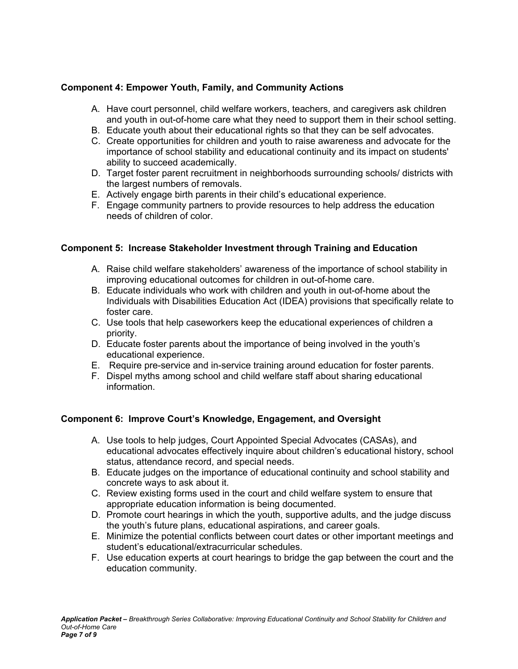## **Component 4: Empower Youth, Family, and Community Actions**

- A. Have court personnel, child welfare workers, teachers, and caregivers ask children and youth in out-of-home care what they need to support them in their school setting.
- B. Educate youth about their educational rights so that they can be self advocates.
- C. Create opportunities for children and youth to raise awareness and advocate for the importance of school stability and educational continuity and its impact on students' ability to succeed academically.
- D. Target foster parent recruitment in neighborhoods surrounding schools/ districts with the largest numbers of removals.
- E. Actively engage birth parents in their child's educational experience.
- F. Engage community partners to provide resources to help address the education needs of children of color.

## **Component 5: Increase Stakeholder Investment through Training and Education**

- A. Raise child welfare stakeholders' awareness of the importance of school stability in improving educational outcomes for children in out-of-home care.
- B. Educate individuals who work with children and youth in out-of-home about the Individuals with Disabilities Education Act (IDEA) provisions that specifically relate to foster care.
- C. Use tools that help caseworkers keep the educational experiences of children a priority.
- D. Educate foster parents about the importance of being involved in the youth's educational experience.
- E. Require pre-service and in-service training around education for foster parents.
- F. Dispel myths among school and child welfare staff about sharing educational information.

## **Component 6: Improve Court's Knowledge, Engagement, and Oversight**

- A. Use tools to help judges, Court Appointed Special Advocates (CASAs), and educational advocates effectively inquire about children's educational history, school status, attendance record, and special needs.
- B. Educate judges on the importance of educational continuity and school stability and concrete ways to ask about it.
- C. Review existing forms used in the court and child welfare system to ensure that appropriate education information is being documented.
- D. Promote court hearings in which the youth, supportive adults, and the judge discuss the youth's future plans, educational aspirations, and career goals.
- E. Minimize the potential conflicts between court dates or other important meetings and student's educational/extracurricular schedules.
- F. Use education experts at court hearings to bridge the gap between the court and the education community.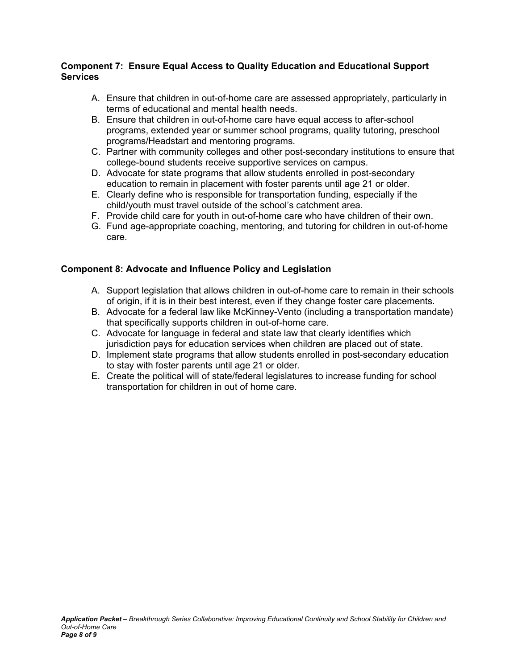#### **Component 7: Ensure Equal Access to Quality Education and Educational Support Services**

- A. Ensure that children in out-of-home care are assessed appropriately, particularly in terms of educational and mental health needs.
- B. Ensure that children in out-of-home care have equal access to after-school programs, extended year or summer school programs, quality tutoring, preschool programs/Headstart and mentoring programs.
- C. Partner with community colleges and other post-secondary institutions to ensure that college-bound students receive supportive services on campus.
- D. Advocate for state programs that allow students enrolled in post-secondary education to remain in placement with foster parents until age 21 or older.
- E. Clearly define who is responsible for transportation funding, especially if the child/youth must travel outside of the school's catchment area.
- F. Provide child care for youth in out-of-home care who have children of their own.
- G. Fund age-appropriate coaching, mentoring, and tutoring for children in out-of-home care.

### **Component 8: Advocate and Influence Policy and Legislation**

- A. Support legislation that allows children in out-of-home care to remain in their schools of origin, if it is in their best interest, even if they change foster care placements.
- B. Advocate for a federal law like McKinney-Vento (including a transportation mandate) that specifically supports children in out-of-home care.
- C. Advocate for language in federal and state law that clearly identifies which jurisdiction pays for education services when children are placed out of state.
- D. Implement state programs that allow students enrolled in post-secondary education to stay with foster parents until age 21 or older.
- E. Create the political will of state/federal legislatures to increase funding for school transportation for children in out of home care.